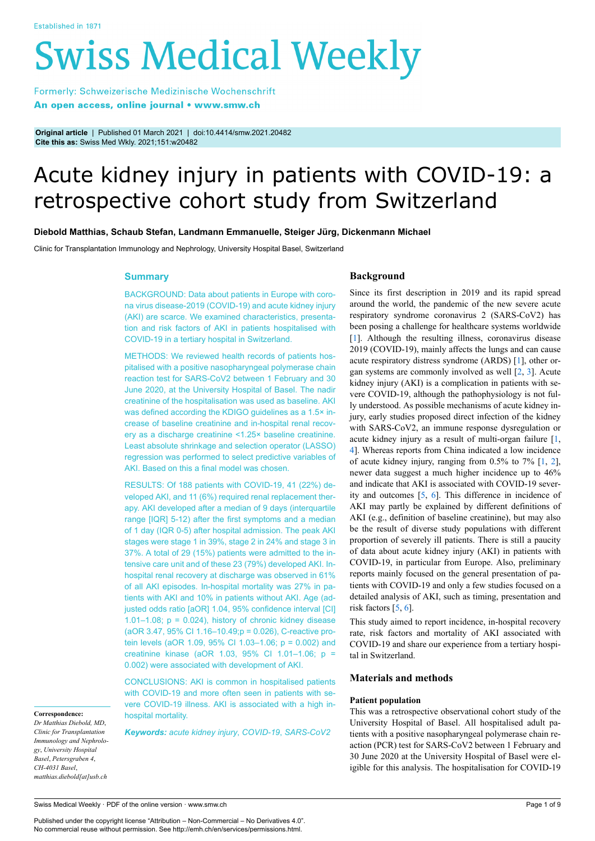# **Swiss Medical Weekly**

Formerly: Schweizerische Medizinische Wochenschrift An open access, online journal • www.smw.ch

**Original article** | Published 01 March 2021 | doi:10.4414/smw.2021.20482 **Cite this as:** Swiss Med Wkly. 2021;151:w20482

## Acute kidney injury in patients with COVID-19: a retrospective cohort study from Switzerland

**Diebold Matthias, Schaub Stefan, Landmann Emmanuelle, Steiger Jürg, Dickenmann Michael**

Clinic for Transplantation Immunology and Nephrology, University Hospital Basel, Switzerland

#### **Summary**

BACKGROUND: Data about patients in Europe with corona virus disease-2019 (COVID-19) and acute kidney injury (AKI) are scarce. We examined characteristics, presentation and risk factors of AKI in patients hospitalised with COVID-19 in a tertiary hospital in Switzerland.

METHODS: We reviewed health records of patients hospitalised with a positive nasopharyngeal polymerase chain reaction test for SARS-CoV2 between 1 February and 30 June 2020, at the University Hospital of Basel. The nadir creatinine of the hospitalisation was used as baseline. AKI was defined according the KDIGO guidelines as a 1.5× increase of baseline creatinine and in-hospital renal recovery as a discharge creatinine <1.25× baseline creatinine. Least absolute shrinkage and selection operator (LASSO) regression was performed to select predictive variables of AKI. Based on this a final model was chosen.

RESULTS: Of 188 patients with COVID-19, 41 (22%) developed AKI, and 11 (6%) required renal replacement therapy. AKI developed after a median of 9 days (interquartile range [IQR] 5-12) after the first symptoms and a median of 1 day (IQR 0-5) after hospital admission. The peak AKI stages were stage 1 in 39%, stage 2 in 24% and stage 3 in 37%. A total of 29 (15%) patients were admitted to the intensive care unit and of these 23 (79%) developed AKI. Inhospital renal recovery at discharge was observed in 61% of all AKI episodes. In-hospital mortality was 27% in patients with AKI and 10% in patients without AKI. Age (adjusted odds ratio [aOR] 1.04, 95% confidence interval [CI] 1.01–1.08;  $p = 0.024$ ), history of chronic kidney disease (aOR 3.47, 95% CI 1.16–10.49;p = 0.026), C-reactive protein levels (aOR 1.09, 95% CI 1.03–1.06; p = 0.002) and creatinine kinase (aOR 1.03, 95% CI 1.01–1.06; p = 0.002) were associated with development of AKI.

CONCLUSIONS: AKI is common in hospitalised patients with COVID-19 and more often seen in patients with severe COVID-19 illness. AKI is associated with a high inhospital mortality.

*Keywords: acute kidney injury*, *COVID-19*, *SARS-CoV2*

#### **Background**

Since its first description in 2019 and its rapid spread around the world, the pandemic of the new severe acute respiratory syndrome coronavirus 2 (SARS-CoV2) has been posing a challenge for healthcare systems worldwide [\[1\]](#page-5-0). Although the resulting illness, coronavirus disease 2019 (COVID-19), mainly affects the lungs and can cause acute respiratory distress syndrome (ARDS) [\[1\]](#page-5-0), other organ systems are commonly involved as well [[2](#page-5-1), [3\]](#page-5-2). Acute kidney injury (AKI) is a complication in patients with severe COVID-19, although the pathophysiology is not fully understood. As possible mechanisms of acute kidney injury, early studies proposed direct infection of the kidney with SARS-CoV2, an immune response dysregulation or acute kidney injury as a result of multi-organ failure [[1](#page-5-0), [4\]](#page-5-3). Whereas reports from China indicated a low incidence of acute kidney injury, ranging from 0.5% to 7% [\[1,](#page-5-0) [2](#page-5-1)], newer data suggest a much higher incidence up to 46% and indicate that AKI is associated with COVID-19 severity and outcomes [\[5,](#page-5-4) [6](#page-5-5)]. This difference in incidence of AKI may partly be explained by different definitions of AKI (e.g., definition of baseline creatinine), but may also be the result of diverse study populations with different proportion of severely ill patients. There is still a paucity of data about acute kidney injury (AKI) in patients with COVID-19, in particular from Europe. Also, preliminary reports mainly focused on the general presentation of patients with COVID-19 and only a few studies focused on a detailed analysis of AKI, such as timing, presentation and risk factors [[5](#page-5-4), [6](#page-5-5)].

This study aimed to report incidence, in-hospital recovery rate, risk factors and mortality of AKI associated with COVID-19 and share our experience from a tertiary hospital in Switzerland.

#### **Materials and methods**

#### **Patient population**

This was a retrospective observational cohort study of the University Hospital of Basel. All hospitalised adult patients with a positive nasopharyngeal polymerase chain reaction (PCR) test for SARS-CoV2 between 1 February and 30 June 2020 at the University Hospital of Basel were eligible for this analysis. The hospitalisation for COVID-19

**Correspondence:**

*Dr Matthias Diebold, MD*, *Clinic for Transplantation Immunology and Nephrology*, *University Hospital Basel*, *Petersgraben 4*, *CH-4031 Basel*, *matthias.diebold[at]usb.ch*

Swiss Medical Weekly · PDF of the online version · www.smw.ch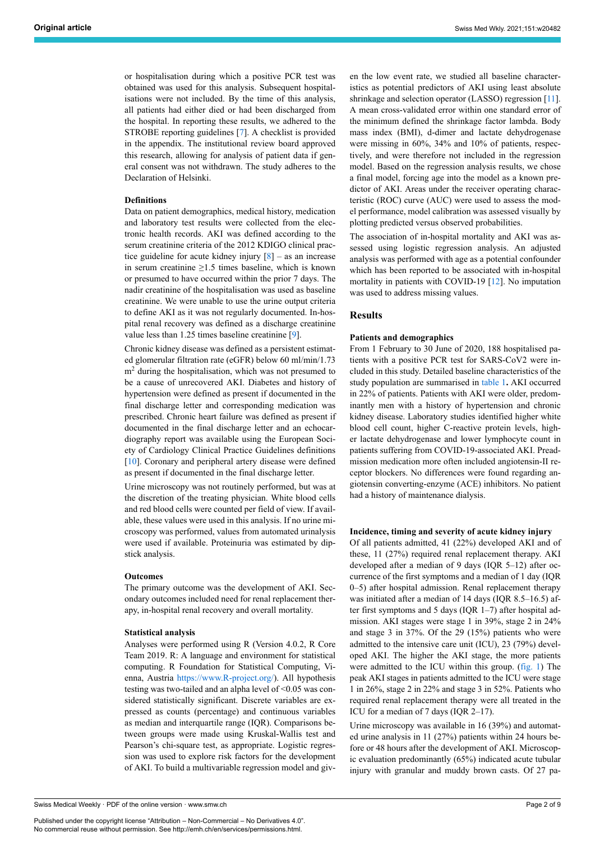or hospitalisation during which a positive PCR test was obtained was used for this analysis. Subsequent hospitalisations were not included. By the time of this analysis, all patients had either died or had been discharged from the hospital. In reporting these results, we adhered to the STROBE reporting guidelines [[7](#page-5-6)]. A checklist is provided in the appendix. The institutional review board approved this research, allowing for analysis of patient data if general consent was not withdrawn. The study adheres to the Declaration of Helsinki.

#### **Definitions**

Data on patient demographics, medical history, medication and laboratory test results were collected from the electronic health records. AKI was defined according to the serum creatinine criteria of the 2012 KDIGO clinical practice guideline for acute kidney injury  $[8]$  $[8]$  $[8]$  – as an increase in serum creatinine ≥1.5 times baseline, which is known or presumed to have occurred within the prior 7 days. The nadir creatinine of the hospitalisation was used as baseline creatinine. We were unable to use the urine output criteria to define AKI as it was not regularly documented. In-hospital renal recovery was defined as a discharge creatinine value less than 1.25 times baseline creatinine [\[9\]](#page-5-8).

Chronic kidney disease was defined as a persistent estimated glomerular filtration rate (eGFR) below 60 ml/min/1.73 m<sup>2</sup> during the hospitalisation, which was not presumed to be a cause of unrecovered AKI. Diabetes and history of hypertension were defined as present if documented in the final discharge letter and corresponding medication was prescribed. Chronic heart failure was defined as present if documented in the final discharge letter and an echocardiography report was available using the European Society of Cardiology Clinical Practice Guidelines definitions [[10\]](#page-5-9). Coronary and peripheral artery disease were defined as present if documented in the final discharge letter.

Urine microscopy was not routinely performed, but was at the discretion of the treating physician. White blood cells and red blood cells were counted per field of view. If available, these values were used in this analysis. If no urine microscopy was performed, values from automated urinalysis were used if available. Proteinuria was estimated by dipstick analysis.

#### **Outcomes**

The primary outcome was the development of AKI. Secondary outcomes included need for renal replacement therapy, in-hospital renal recovery and overall mortality.

#### **Statistical analysis**

Analyses were performed using R (Version 4.0.2, R Core Team 2019. R: A language and environment for statistical computing. R Foundation for Statistical Computing, Vienna, Austria [https://www.R-project.org/\)](https://www.r-project.org/). All hypothesis testing was two-tailed and an alpha level of <0.05 was considered statistically significant. Discrete variables are expressed as counts (percentage) and continuous variables as median and interquartile range (IQR). Comparisons between groups were made using Kruskal-Wallis test and Pearson's chi-square test, as appropriate. Logistic regression was used to explore risk factors for the development of AKI. To build a multivariable regression model and giv-

Published under the copyright license "Attribution – Non-Commercial – No Derivatives 4.0". No commercial reuse without permission. See http://emh.ch/en/services/permissions.html.

en the low event rate, we studied all baseline characteristics as potential predictors of AKI using least absolute shrinkage and selection operator (LASSO) regression [\[11](#page-5-10)]. A mean cross-validated error within one standard error of the minimum defined the shrinkage factor lambda. Body mass index (BMI), d-dimer and lactate dehydrogenase were missing in 60%, 34% and 10% of patients, respectively, and were therefore not included in the regression model. Based on the regression analysis results, we chose a final model, forcing age into the model as a known predictor of AKI. Areas under the receiver operating characteristic (ROC) curve (AUC) were used to assess the model performance, model calibration was assessed visually by plotting predicted versus observed probabilities.

The association of in-hospital mortality and AKI was assessed using logistic regression analysis. An adjusted analysis was performed with age as a potential confounder which has been reported to be associated with in-hospital mortality in patients with COVID-19 [\[12](#page-5-11)]. No imputation was used to address missing values.

#### **Results**

#### **Patients and demographics**

From 1 February to 30 June of 2020, 188 hospitalised patients with a positive PCR test for SARS-CoV2 were included in this study. Detailed baseline characteristics of the study population are summarised in [table 1](#page-2-0)**.** AKI occurred in 22% of patients. Patients with AKI were older, predominantly men with a history of hypertension and chronic kidney disease. Laboratory studies identified higher white blood cell count, higher C-reactive protein levels, higher lactate dehydrogenase and lower lymphocyte count in patients suffering from COVID-19-associated AKI. Preadmission medication more often included angiotensin-II receptor blockers. No differences were found regarding angiotensin converting-enzyme (ACE) inhibitors. No patient had a history of maintenance dialysis.

#### **Incidence, timing and severity of acute kidney injury**

Of all patients admitted, 41 (22%) developed AKI and of these, 11 (27%) required renal replacement therapy. AKI developed after a median of 9 days (IQR 5–12) after occurrence of the first symptoms and a median of 1 day (IQR 0–5) after hospital admission. Renal replacement therapy was initiated after a median of 14 days (IQR 8.5–16.5) after first symptoms and 5 days (IQR 1–7) after hospital admission. AKI stages were stage 1 in 39%, stage 2 in 24% and stage 3 in 37%. Of the 29 (15%) patients who were admitted to the intensive care unit (ICU), 23 (79%) developed AKI. The higher the AKI stage, the more patients were admitted to the ICU within this group. ([fig. 1\)](#page-2-1) The peak AKI stages in patients admitted to the ICU were stage 1 in 26%, stage 2 in 22% and stage 3 in 52%. Patients who required renal replacement therapy were all treated in the ICU for a median of 7 days (IQR 2–17).

Urine microscopy was available in 16 (39%) and automated urine analysis in 11 (27%) patients within 24 hours before or 48 hours after the development of AKI. Microscopic evaluation predominantly (65%) indicated acute tubular injury with granular and muddy brown casts. Of 27 pa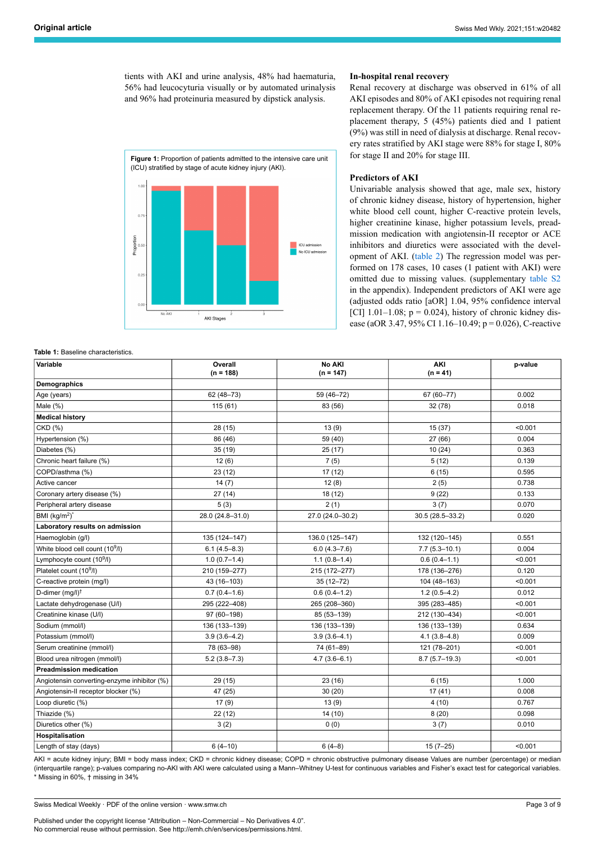tients with AKI and urine analysis, 48% had haematuria, 56% had leucocyturia visually or by automated urinalysis and 96% had proteinuria measured by dipstick analysis.

<span id="page-2-1"></span>

#### **In-hospital renal recovery**

Renal recovery at discharge was observed in 61% of all AKI episodes and 80% of AKI episodes not requiring renal replacement therapy. Of the 11 patients requiring renal replacement therapy, 5 (45%) patients died and 1 patient (9%) was still in need of dialysis at discharge. Renal recovery rates stratified by AKI stage were 88% for stage I, 80% for stage II and 20% for stage III.

#### **Predictors of AKI**

Univariable analysis showed that age, male sex, history of chronic kidney disease, history of hypertension, higher white blood cell count, higher C-reactive protein levels, higher creatinine kinase, higher potassium levels, preadmission medication with angiotensin-II receptor or ACE inhibitors and diuretics were associated with the development of AKI. [\(table 2](#page-3-0)) The regression model was performed on 178 cases, 10 cases (1 patient with AKI) were omitted due to missing values. (supplementary [table S2](#page-7-0) in the appendix). Independent predictors of AKI were age (adjusted odds ratio [aOR] 1.04, 95% confidence interval [CI]  $1.01-1.08$ ;  $p = 0.024$ ), history of chronic kidney disease (aOR 3.47, 95% CI 1.16–10.49; p = 0.026), C-reactive

#### <span id="page-2-0"></span>**Table 1:** Baseline characteristics.

| Variable                                    | Overall<br>$(n = 188)$ | No AKI<br>$(n = 147)$ | AKI<br>$(n = 41)$   | p-value |
|---------------------------------------------|------------------------|-----------------------|---------------------|---------|
| Demographics                                |                        |                       |                     |         |
| Age (years)                                 | 62 (48-73)             | 59 (46-72)            | 67 (60-77)          | 0.002   |
| Male $(\%)$                                 | 115(61)                | 83 (56)               | 32 (78)             | 0.018   |
| <b>Medical history</b>                      |                        |                       |                     |         |
| CKD(%)                                      | 28 (15)                | 13(9)                 | 15(37)              | < 0.001 |
| Hypertension (%)                            | 86 (46)                | 59 (40)               | 27 (66)             | 0.004   |
| Diabetes (%)                                | 35(19)                 | 25(17)                | 10(24)              | 0.363   |
| Chronic heart failure (%)                   | 12(6)                  | 7(5)                  | 5(12)               | 0.139   |
| COPD/asthma (%)                             | 23 (12)                | 17 (12)               | 6(15)               | 0.595   |
| Active cancer                               | 14(7)                  | 12(8)                 | 2(5)                | 0.738   |
| Coronary artery disease (%)                 | 27(14)                 | 18 (12)               | 9(22)               | 0.133   |
| Peripheral artery disease                   | 5(3)                   | 2(1)                  | 3(7)                | 0.070   |
| BMI $(kg/m2)*$                              | 28.0 (24.8-31.0)       | 27.0 (24.0-30.2)      | $30.5(28.5 - 33.2)$ | 0.020   |
| Laboratory results on admission             |                        |                       |                     |         |
| Haemoglobin (g/l)                           | 135 (124-147)          | 136.0 (125-147)       | 132 (120-145)       | 0.551   |
| White blood cell count (10 <sup>9</sup> /l) | $6.1(4.5 - 8.3)$       | $6.0(4.3 - 7.6)$      | $7.7(5.3 - 10.1)$   | 0.004   |
| Lymphocyte count $(10^9/l)$                 | $1.0(0.7-1.4)$         | $1.1(0.8-1.4)$        | $0.6(0.4-1.1)$      | < 0.001 |
| Platelet count (10 <sup>9</sup> /l)         | 210 (159-277)          | 215 (172-277)         | 178 (136-276)       | 0.120   |
| C-reactive protein (mg/l)                   | 43 (16-103)            | $35(12 - 72)$         | 104 (48-163)        | < 0.001 |
| D-dimer $(mg/l)^{\dagger}$                  | $0.7(0.4 - 1.6)$       | $0.6(0.4-1.2)$        | $1.2(0.5-4.2)$      | 0.012   |
| Lactate dehydrogenase (U/I)                 | 295 (222-408)          | 265 (208-360)         | 395 (283-485)       | < 0.001 |
| Creatinine kinase (U/I)                     | 97 (60-198)            | 85 (53-139)           | 212 (130-434)       | < 0.001 |
| Sodium (mmol/l)                             | 136 (133-139)          | 136 (133-139)         | 136 (133-139)       | 0.634   |
| Potassium (mmol/l)                          | $3.9(3.6 - 4.2)$       | $3.9(3.6 - 4.1)$      | $4.1(3.8 - 4.8)$    | 0.009   |
| Serum creatinine (mmol/l)                   | 78 (63-98)             | 74 (61-89)            | 121 (78-201)        | < 0.001 |
| Blood urea nitrogen (mmol/l)                | $5.2(3.8 - 7.3)$       | $4.7(3.6 - 6.1)$      | $8.7(5.7-19.3)$     | < 0.001 |
| <b>Preadmission medication</b>              |                        |                       |                     |         |
| Angiotensin converting-enzyme inhibitor (%) | 29 (15)                | 23(16)                | 6(15)               | 1.000   |
| Angiotensin-II receptor blocker (%)         | 47 (25)                | 30(20)                | 17(41)              | 0.008   |
| Loop diuretic (%)                           | 17(9)                  | 13(9)                 | 4(10)               | 0.767   |
| Thiazide (%)                                | 22 (12)                | 14(10)                | 8(20)               | 0.098   |
| Diuretics other (%)                         | 3(2)                   | 0(0)                  | 3(7)                | 0.010   |
| Hospitalisation                             |                        |                       |                     |         |
| Length of stay (days)                       | $6(4-10)$              | $6(4-8)$              | $15(7-25)$          | < 0.001 |

AKI = acute kidney injury; BMI = body mass index; CKD = chronic kidney disease; COPD = chronic obstructive pulmonary disease Values are number (percentage) or median (interquartile range); p-values comparing no-AKI with AKI were calculated using a Mann–Whitney U-test for continuous variables and Fisher's exact test for categorical variables. Missing in 60%, † missing in 34%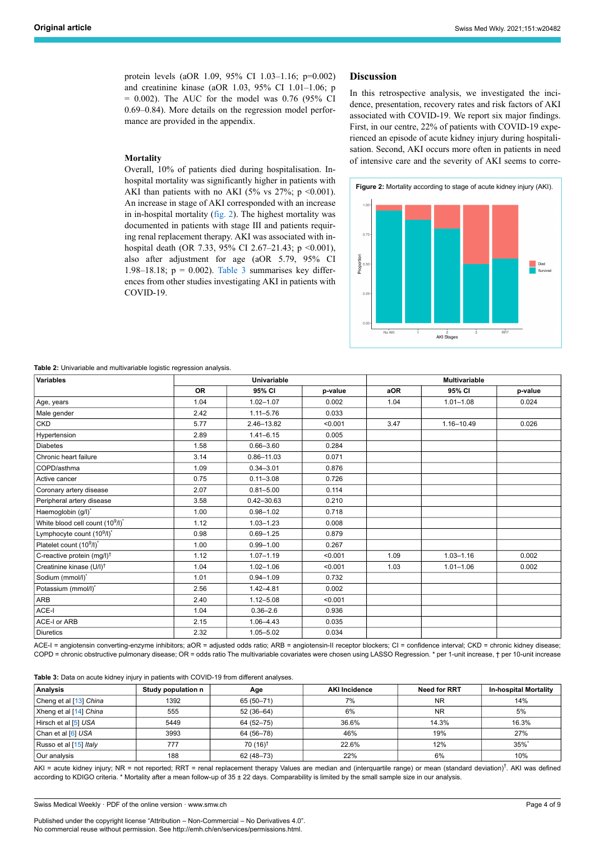protein levels (aOR 1.09, 95% CI 1.03–1.16; p=0.002) and creatinine kinase (aOR 1.03, 95% CI 1.01–1.06; p  $= 0.002$ ). The AUC for the model was 0.76 (95% CI 0.69–0.84). More details on the regression model performance are provided in the appendix.

#### **Mortality**

<span id="page-3-1"></span>Overall, 10% of patients died during hospitalisation. Inhospital mortality was significantly higher in patients with AKI than patients with no AKI (5% vs 27%; p <0.001). An increase in stage of AKI corresponded with an increase in in-hospital mortality ([fig. 2](#page-3-1)). The highest mortality was documented in patients with stage III and patients requiring renal replacement therapy. AKI was associated with inhospital death (OR 7.33, 95% CI 2.67-21.43; p < 0.001), also after adjustment for age (aOR 5.79, 95% CI 1.98–18.18;  $p = 0.002$ ). [Table 3](#page-3-2) summarises key differences from other studies investigating AKI in patients with COVID-19.

#### **Discussion**

In this retrospective analysis, we investigated the incidence, presentation, recovery rates and risk factors of AKI associated with COVID-19. We report six major findings. First, in our centre, 22% of patients with COVID-19 experienced an episode of acute kidney injury during hospitalisation. Second, AKI occurs more often in patients in need of intensive care and the severity of AKI seems to corre-



<span id="page-3-0"></span>

| Variables                                                | <b>Univariable</b> |                |         | <b>Multivariable</b> |                |         |
|----------------------------------------------------------|--------------------|----------------|---------|----------------------|----------------|---------|
|                                                          | <b>OR</b>          | 95% CI         | p-value | aOR                  | 95% CI         | p-value |
| Age, years                                               | 1.04               | $1.02 - 1.07$  | 0.002   | 1.04                 | $1.01 - 1.08$  | 0.024   |
| Male gender                                              | 2.42               | $1.11 - 5.76$  | 0.033   |                      |                |         |
| <b>CKD</b>                                               | 5.77               | 2.46-13.82     | < 0.001 | 3.47                 | $1.16 - 10.49$ | 0.026   |
| Hypertension                                             | 2.89               | $1.41 - 6.15$  | 0.005   |                      |                |         |
| <b>Diabetes</b>                                          | 1.58               | $0.66 - 3.60$  | 0.284   |                      |                |         |
| Chronic heart failure                                    | 3.14               | $0.86 - 11.03$ | 0.071   |                      |                |         |
| COPD/asthma                                              | 1.09               | $0.34 - 3.01$  | 0.876   |                      |                |         |
| Active cancer                                            | 0.75               | $0.11 - 3.08$  | 0.726   |                      |                |         |
| Coronary artery disease                                  | 2.07               | $0.81 - 5.00$  | 0.114   |                      |                |         |
| Peripheral artery disease                                | 3.58               | $0.42 - 30.63$ | 0.210   |                      |                |         |
| Haemoglobin (g/l)*                                       | 1.00               | $0.98 - 1.02$  | 0.718   |                      |                |         |
| White blood cell count (10 <sup>9</sup> /l) <sup>*</sup> | 1.12               | $1.03 - 1.23$  | 0.008   |                      |                |         |
| Lymphocyte count (10 <sup>9</sup> /l) <sup>*</sup>       | 0.98               | $0.69 - 1.25$  | 0.879   |                      |                |         |
| Platelet count (10 <sup>9</sup> /l) <sup>*</sup>         | 1.00               | $0.99 - 1.00$  | 0.267   |                      |                |         |
| C-reactive protein $(mg/l)^{\dagger}$                    | 1.12               | $1.07 - 1.19$  | < 0.001 | 1.09                 | $1.03 - 1.16$  | 0.002   |
| Creatinine kinase (U/I) <sup>†</sup>                     | 1.04               | $1.02 - 1.06$  | < 0.001 | 1.03                 | $1.01 - 1.06$  | 0.002   |
| Sodium (mmol/l)*                                         | 1.01               | $0.94 - 1.09$  | 0.732   |                      |                |         |
| Potassium (mmol/l)*                                      | 2.56               | $1.42 - 4.81$  | 0.002   |                      |                |         |
| ARB                                                      | 2.40               | $1.12 - 5.08$  | < 0.001 |                      |                |         |
| ACE-I                                                    | 1.04               | $0.36 - 2.6$   | 0.936   |                      |                |         |
| ACE-I or ARB                                             | 2.15               | $1.06 - 4.43$  | 0.035   |                      |                |         |
| <b>Diuretics</b>                                         | 2.32               | $1.05 - 5.02$  | 0.034   |                      |                |         |

ACE-I = angiotensin converting-enzyme inhibitors; aOR = adjusted odds ratio; ARB = angiotensin-II receptor blockers; CI = confidence interval; CKD = chronic kidney disease; COPD = chronic obstructive pulmonary disease; OR = odds ratio The multivariable covariates were chosen using LASSO Regression. \* per 1-unit increase, † per 10-unit increase

<span id="page-3-2"></span>**Table 3:** Data on acute kidney injury in patients with COVID-19 from different analyses.

| Analysis                           | Study population n | Age                | <b>AKI Incidence</b> | <b>Need for RRT</b> | <b>In-hospital Mortality</b> |
|------------------------------------|--------------------|--------------------|----------------------|---------------------|------------------------------|
| Cheng et al [13] China             | 1392               | 65 (50-71)         | 7%                   | <b>NR</b>           | 14%                          |
| Xheng et al [14] China             | 555                | $52(36-64)$        | 6%                   | <b>NR</b>           | 5%                           |
| Hirsch et al [ <mark>5] USA</mark> | 5449               | 64 (52-75)         | 36.6%                | 14.3%               | 16.3%                        |
| Chan et al [6] USA                 | 3993               | 64 (56-78)         | 46%                  | 19%                 | 27%                          |
| Russo et al [15] Italy             | 777                | $70(16)^{\dagger}$ | 22.6%                | 12%                 | 35%                          |
| Our analysis                       | 188                | 62 (48-73)         | 22%                  | 6%                  | 10%                          |

AKI = acute kidney injury; NR = not reported; RRT = renal replacement therapy Values are median and (interquartile range) or mean (standard deviation)<sup>†</sup>. AKI was defined according to KDIGO criteria. \* Mortality after a mean follow-up of 35 ± 22 days. Comparability is limited by the small sample size in our analysis.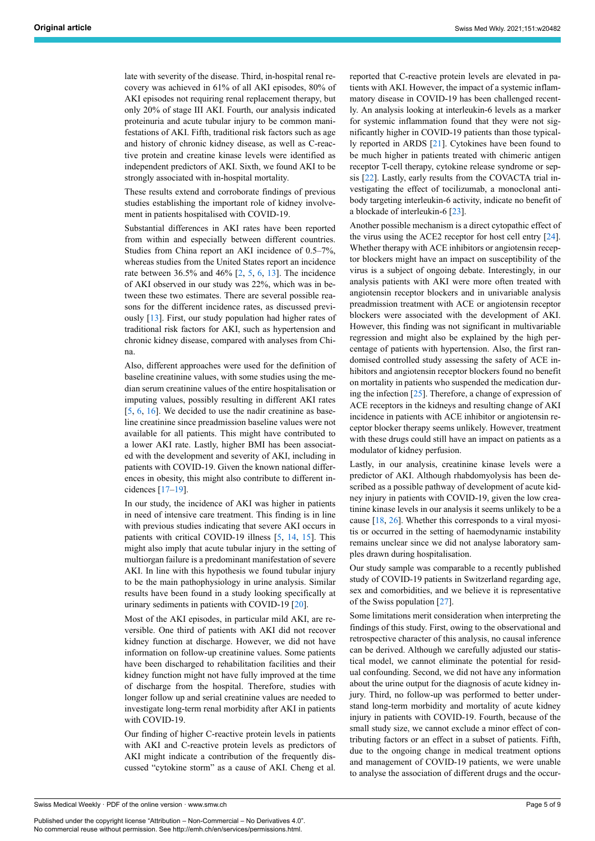late with severity of the disease. Third, in-hospital renal recovery was achieved in 61% of all AKI episodes, 80% of AKI episodes not requiring renal replacement therapy, but only 20% of stage III AKI. Fourth, our analysis indicated proteinuria and acute tubular injury to be common manifestations of AKI. Fifth, traditional risk factors such as age and history of chronic kidney disease, as well as C-reactive protein and creatine kinase levels were identified as independent predictors of AKI. Sixth, we found AKI to be strongly associated with in-hospital mortality.

These results extend and corroborate findings of previous studies establishing the important role of kidney involvement in patients hospitalised with COVID-19.

Substantial differences in AKI rates have been reported from within and especially between different countries. Studies from China report an AKI incidence of 0.5–7%, whereas studies from the United States report an incidence rate between  $36.5\%$  $36.5\%$  $36.5\%$  and  $46\%$  [\[2,](#page-5-1) [5,](#page-5-4) 6, [13](#page-5-12)]. The incidence of AKI observed in our study was 22%, which was in between these two estimates. There are several possible reasons for the different incidence rates, as discussed previously [\[13](#page-5-12)]. First, our study population had higher rates of traditional risk factors for AKI, such as hypertension and chronic kidney disease, compared with analyses from China.

Also, different approaches were used for the definition of baseline creatinine values, with some studies using the median serum creatinine values of the entire hospitalisation or imputing values, possibly resulting in different AKI rates [[5](#page-5-4), [6,](#page-5-5) [16\]](#page-5-15). We decided to use the nadir creatinine as baseline creatinine since preadmission baseline values were not available for all patients. This might have contributed to a lower AKI rate. Lastly, higher BMI has been associated with the development and severity of AKI, including in patients with COVID-19. Given the known national differences in obesity, this might also contribute to different incidences [[17](#page-5-16)[–19](#page-5-17)].

In our study, the incidence of AKI was higher in patients in need of intensive care treatment. This finding is in line with previous studies indicating that severe AKI occurs in patients with critical COVID-19 illness [\[5,](#page-5-4) [14,](#page-5-13) [15](#page-5-14)]. This might also imply that acute tubular injury in the setting of multiorgan failure is a predominant manifestation of severe AKI. In line with this hypothesis we found tubular injury to be the main pathophysiology in urine analysis. Similar results have been found in a study looking specifically at urinary sediments in patients with COVID-19 [[20\]](#page-5-18).

Most of the AKI episodes, in particular mild AKI, are reversible. One third of patients with AKI did not recover kidney function at discharge. However, we did not have information on follow-up creatinine values. Some patients have been discharged to rehabilitation facilities and their kidney function might not have fully improved at the time of discharge from the hospital. Therefore, studies with longer follow up and serial creatinine values are needed to investigate long-term renal morbidity after AKI in patients with COVID-19.

Our finding of higher C-reactive protein levels in patients with AKI and C-reactive protein levels as predictors of AKI might indicate a contribution of the frequently discussed "cytokine storm" as a cause of AKI. Cheng et al. reported that C-reactive protein levels are elevated in patients with AKI. However, the impact of a systemic inflammatory disease in COVID-19 has been challenged recently. An analysis looking at interleukin-6 levels as a marker for systemic inflammation found that they were not significantly higher in COVID-19 patients than those typically reported in ARDS [\[21](#page-5-19)]. Cytokines have been found to be much higher in patients treated with chimeric antigen receptor T-cell therapy, cytokine release syndrome or sepsis [\[22](#page-5-20)]. Lastly, early results from the COVACTA trial investigating the effect of tocilizumab, a monoclonal antibody targeting interleukin-6 activity, indicate no benefit of a blockade of interleukin-6 [[23\]](#page-5-21).

Another possible mechanism is a direct cytopathic effect of the virus using the ACE2 receptor for host cell entry [\[24](#page-5-22)]. Whether therapy with ACE inhibitors or angiotensin receptor blockers might have an impact on susceptibility of the virus is a subject of ongoing debate. Interestingly, in our analysis patients with AKI were more often treated with angiotensin receptor blockers and in univariable analysis preadmission treatment with ACE or angiotensin receptor blockers were associated with the development of AKI. However, this finding was not significant in multivariable regression and might also be explained by the high percentage of patients with hypertension. Also, the first randomised controlled study assessing the safety of ACE inhibitors and angiotensin receptor blockers found no benefit on mortality in patients who suspended the medication during the infection [[25\]](#page-5-23). Therefore, a change of expression of ACE receptors in the kidneys and resulting change of AKI incidence in patients with ACE inhibitor or angiotensin receptor blocker therapy seems unlikely. However, treatment with these drugs could still have an impact on patients as a modulator of kidney perfusion.

Lastly, in our analysis, creatinine kinase levels were a predictor of AKI. Although rhabdomyolysis has been described as a possible pathway of development of acute kidney injury in patients with COVID-19, given the low creatinine kinase levels in our analysis it seems unlikely to be a cause [[18,](#page-5-24) [26](#page-5-25)]. Whether this corresponds to a viral myositis or occurred in the setting of haemodynamic instability remains unclear since we did not analyse laboratory samples drawn during hospitalisation.

Our study sample was comparable to a recently published study of COVID-19 patients in Switzerland regarding age, sex and comorbidities, and we believe it is representative of the Swiss population [\[27](#page-5-26)].

Some limitations merit consideration when interpreting the findings of this study. First, owing to the observational and retrospective character of this analysis, no causal inference can be derived. Although we carefully adjusted our statistical model, we cannot eliminate the potential for residual confounding. Second, we did not have any information about the urine output for the diagnosis of acute kidney injury. Third, no follow-up was performed to better understand long-term morbidity and mortality of acute kidney injury in patients with COVID-19. Fourth, because of the small study size, we cannot exclude a minor effect of contributing factors or an effect in a subset of patients. Fifth, due to the ongoing change in medical treatment options and management of COVID-19 patients, we were unable to analyse the association of different drugs and the occur-

Swiss Medical Weekly · PDF of the online version · www.smw.ch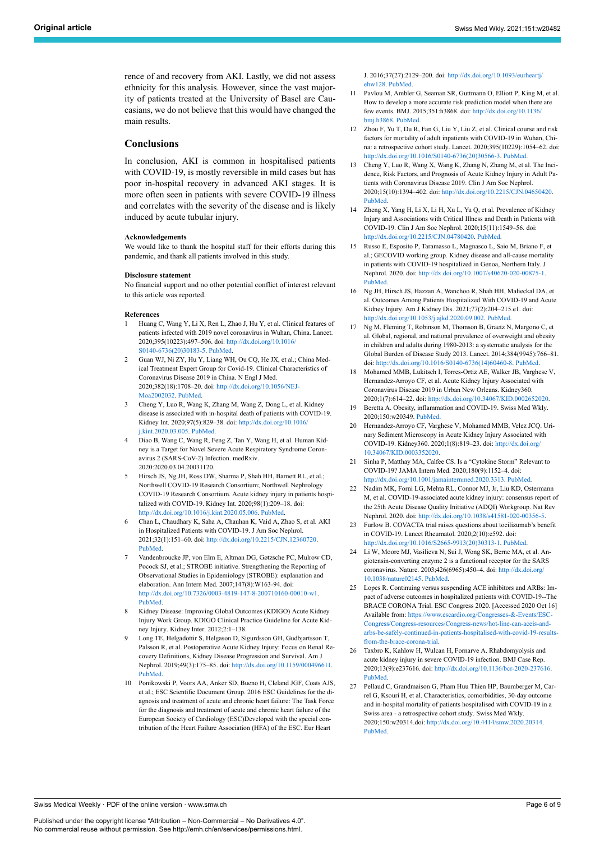<span id="page-5-10"></span>rence of and recovery from AKI. Lastly, we did not assess ethnicity for this analysis. However, since the vast majority of patients treated at the University of Basel are Caucasians, we do not believe that this would have changed the main results.

#### <span id="page-5-11"></span>**Conclusions**

<span id="page-5-12"></span>In conclusion, AKI is common in hospitalised patients with COVID-19, is mostly reversible in mild cases but has poor in-hospital recovery in advanced AKI stages. It is more often seen in patients with severe COVID-19 illness and correlates with the severity of the disease and is likely induced by acute tubular injury.

#### <span id="page-5-13"></span>**Acknowledgements**

<span id="page-5-14"></span>We would like to thank the hospital staff for their efforts during this pandemic, and thank all patients involved in this study.

#### **Disclosure statement**

<span id="page-5-15"></span>No financial support and no other potential conflict of interest relevant to this article was reported.

#### <span id="page-5-16"></span><span id="page-5-0"></span>**References**

- 1 Huang C, Wang Y, Li X, Ren L, Zhao J, Hu Y, et al. Clinical features of patients infected with 2019 novel coronavirus in Wuhan, China. Lancet. 2020;395(10223):497–506. doi: [http://dx.doi.org/10.1016/](http://dx.doi.org/10.1016/S0140-6736(20)30183-5) [S0140-6736\(20\)30183-5.](http://dx.doi.org/10.1016/S0140-6736(20)30183-5) [PubMed.](http://www.ncbi.nlm.nih.gov/entrez/query.fcgi?cmd=Retrieve&db=PubMed&list_uids=31986264&dopt=Abstract)
- <span id="page-5-24"></span><span id="page-5-1"></span>2 Guan WJ, Ni ZY, Hu Y, Liang WH, Ou CQ, He JX, et al.; China Medical Treatment Expert Group for Covid-19. Clinical Characteristics of Coronavirus Disease 2019 in China. N Engl J Med. 2020;382(18):1708–20. doi: [http://dx.doi.org/10.1056/NEJ-](http://dx.doi.org/10.1056/NEJMoa2002032)[Moa2002032.](http://dx.doi.org/10.1056/NEJMoa2002032) [PubMed](http://www.ncbi.nlm.nih.gov/entrez/query.fcgi?cmd=Retrieve&db=PubMed&list_uids=32109013&dopt=Abstract).
- <span id="page-5-18"></span><span id="page-5-17"></span><span id="page-5-2"></span>3 Cheng Y, Luo R, Wang K, Zhang M, Wang Z, Dong L, et al. Kidney disease is associated with in-hospital death of patients with COVID-19. Kidney Int. 2020;97(5):829–38. doi: [http://dx.doi.org/10.1016/](http://dx.doi.org/10.1016/j.kint.2020.03.005) [j.kint.2020.03.005](http://dx.doi.org/10.1016/j.kint.2020.03.005). [PubMed.](http://www.ncbi.nlm.nih.gov/entrez/query.fcgi?cmd=Retrieve&db=PubMed&list_uids=32247631&dopt=Abstract)
- <span id="page-5-3"></span>4 Diao B, Wang C, Wang R, Feng Z, Tan Y, Wang H, et al. Human Kidney is a Target for Novel Severe Acute Respiratory Syndrome Coronavirus 2 (SARS-CoV-2) Infection. medRxiv. 2020:2020.03.04.20031120.
- <span id="page-5-20"></span><span id="page-5-19"></span><span id="page-5-4"></span>5 Hirsch JS, Ng JH, Ross DW, Sharma P, Shah HH, Barnett RL, et al.; Northwell COVID-19 Research Consortium; Northwell Nephrology COVID-19 Research Consortium. Acute kidney injury in patients hospitalized with COVID-19. Kidney Int. 2020;98(1):209–18. doi: [http://dx.doi.org/10.1016/j.kint.2020.05.006.](http://dx.doi.org/10.1016/j.kint.2020.05.006) [PubMed](http://www.ncbi.nlm.nih.gov/entrez/query.fcgi?cmd=Retrieve&db=PubMed&list_uids=32416116&dopt=Abstract).
- <span id="page-5-21"></span><span id="page-5-5"></span>6 Chan L, Chaudhary K, Saha A, Chauhan K, Vaid A, Zhao S, et al. AKI in Hospitalized Patients with COVID-19. J Am Soc Nephrol. 2021;32(1):151–60. doi: [http://dx.doi.org/10.2215/CJN.12360720.](http://dx.doi.org/10.2215/CJN.12360720) [PubMed.](http://www.ncbi.nlm.nih.gov/entrez/query.fcgi?cmd=Retrieve&db=PubMed&list_uids=32883700&dopt=Abstract)
- <span id="page-5-22"></span><span id="page-5-6"></span>7 Vandenbroucke JP, von Elm E, Altman DG, Gøtzsche PC, Mulrow CD, Pocock SJ, et al.; STROBE initiative. Strengthening the Reporting of Observational Studies in Epidemiology (STROBE): explanation and elaboration. Ann Intern Med. 2007;147(8):W163-94. doi: [http://dx.doi.org/10.7326/0003-4819-147-8-200710160-00010-w1.](http://dx.doi.org/10.7326/0003-4819-147-8-200710160-00010-w1) [PubMed.](http://www.ncbi.nlm.nih.gov/entrez/query.fcgi?cmd=Retrieve&db=PubMed&list_uids=17938389&dopt=Abstract)
- <span id="page-5-23"></span><span id="page-5-7"></span>8 Kidney Disease: Improving Global Outcomes (KDIGO) Acute Kidney Injury Work Group. KDIGO Clinical Practice Guideline for Acute Kidney Injury. Kidney Inter. 2012;2:1–138.
- <span id="page-5-25"></span><span id="page-5-8"></span>Long TE, Helgadottir S, Helgason D, Sigurdsson GH, Gudbjartsson T, Palsson R, et al. Postoperative Acute Kidney Injury: Focus on Renal Recovery Definitions, Kidney Disease Progression and Survival. Am J Nephrol. 2019;49(3):175–85. doi: <http://dx.doi.org/10.1159/000496611>. [PubMed.](http://www.ncbi.nlm.nih.gov/entrez/query.fcgi?cmd=Retrieve&db=PubMed&list_uids=30699414&dopt=Abstract)
- <span id="page-5-9"></span>10 Ponikowski P, Voors AA, Anker SD, Bueno H, Cleland JGF, Coats AJS, et al.; ESC Scientific Document Group. 2016 ESC Guidelines for the diagnosis and treatment of acute and chronic heart failure: The Task Force for the diagnosis and treatment of acute and chronic heart failure of the European Society of Cardiology (ESC)Developed with the special contribution of the Heart Failure Association (HFA) of the ESC. Eur Heart

J. 2016;37(27):2129–200. doi: [http://dx.doi.org/10.1093/eurheartj/](http://dx.doi.org/10.1093/eurheartj/ehw128) [ehw128.](http://dx.doi.org/10.1093/eurheartj/ehw128) [PubMed.](http://www.ncbi.nlm.nih.gov/entrez/query.fcgi?cmd=Retrieve&db=PubMed&list_uids=27206819&dopt=Abstract)

- 11 Pavlou M, Ambler G, Seaman SR, Guttmann O, Elliott P, King M, et al. How to develop a more accurate risk prediction model when there are few events. BMJ. 2015;351:h3868. doi: [http://dx.doi.org/10.1136/](http://dx.doi.org/10.1136/bmj.h3868) [bmj.h3868](http://dx.doi.org/10.1136/bmj.h3868). [PubMed.](http://www.ncbi.nlm.nih.gov/entrez/query.fcgi?cmd=Retrieve&db=PubMed&list_uids=26264962&dopt=Abstract)
- 12 Zhou F, Yu T, Du R, Fan G, Liu Y, Liu Z, et al. Clinical course and risk factors for mortality of adult inpatients with COVID-19 in Wuhan, China: a retrospective cohort study. Lancet. 2020;395(10229):1054–62. doi: [http://dx.doi.org/10.1016/S0140-6736\(20\)30566-3](http://dx.doi.org/10.1016/S0140-6736(20)30566-3). [PubMed.](http://www.ncbi.nlm.nih.gov/entrez/query.fcgi?cmd=Retrieve&db=PubMed&list_uids=32171076&dopt=Abstract)
- 13 Cheng Y, Luo R, Wang X, Wang K, Zhang N, Zhang M, et al. The Incidence, Risk Factors, and Prognosis of Acute Kidney Injury in Adult Patients with Coronavirus Disease 2019. Clin J Am Soc Nephrol. 2020;15(10):1394–402. doi: <http://dx.doi.org/10.2215/CJN.04650420>. [PubMed](http://www.ncbi.nlm.nih.gov/entrez/query.fcgi?cmd=Retrieve&db=PubMed&list_uids=32963018&dopt=Abstract).
- 14 Zheng X, Yang H, Li X, Li H, Xu L, Yu Q, et al. Prevalence of Kidney Injury and Associations with Critical Illness and Death in Patients with COVID-19. Clin J Am Soc Nephrol. 2020;15(11):1549–56. doi: <http://dx.doi.org/10.2215/CJN.04780420>. [PubMed.](http://www.ncbi.nlm.nih.gov/entrez/query.fcgi?cmd=Retrieve&db=PubMed&list_uids=32943396&dopt=Abstract)
- 15 Russo E, Esposito P, Taramasso L, Magnasco L, Saio M, Briano F, et al.; GECOVID working group. Kidney disease and all-cause mortality in patients with COVID-19 hospitalized in Genoa, Northern Italy. J Nephrol. 2020. doi: [http://dx.doi.org/10.1007/s40620-020-00875-1.](http://dx.doi.org/10.1007/s40620-020-00875-1) [PubMed](http://www.ncbi.nlm.nih.gov/entrez/query.fcgi?cmd=Retrieve&db=PubMed&list_uids=33025516&dopt=Abstract).
- 16 Ng JH, Hirsch JS, Hazzan A, Wanchoo R, Shah HH, Malieckal DA, et al. Outcomes Among Patients Hospitalized With COVID-19 and Acute Kidney Injury. Am J Kidney Dis. 2021;77(2):204–215.e1. doi: <http://dx.doi.org/10.1053/j.ajkd.2020.09.002>. [PubMed.](http://www.ncbi.nlm.nih.gov/entrez/query.fcgi?cmd=Retrieve&db=PubMed&list_uids=32961245&dopt=Abstract)
- 17 Ng M, Fleming T, Robinson M, Thomson B, Graetz N, Margono C, et al. Global, regional, and national prevalence of overweight and obesity in children and adults during 1980-2013: a systematic analysis for the Global Burden of Disease Study 2013. Lancet. 2014;384(9945):766–81. doi: [http://dx.doi.org/10.1016/S0140-6736\(14\)60460-8.](http://dx.doi.org/10.1016/S0140-6736(14)60460-8) [PubMed.](http://www.ncbi.nlm.nih.gov/entrez/query.fcgi?cmd=Retrieve&db=PubMed&list_uids=24880830&dopt=Abstract)
- 18 Mohamed MMB, Lukitsch I, Torres-Ortiz AE, Walker JB, Varghese V, Hernandez-Arroyo CF, et al. Acute Kidney Injury Associated with Coronavirus Disease 2019 in Urban New Orleans. Kidney360. 2020;1(7):614–22. doi: [http://dx.doi.org/10.34067/KID.0002652020.](http://dx.doi.org/10.34067/KID.0002652020)
- 19 Beretta A. Obesity, inflammation and COVID-19. Swiss Med Wkly. 2020;150:w20349. [PubMed.](http://www.ncbi.nlm.nih.gov/entrez/query.fcgi?cmd=Retrieve&db=PubMed&list_uids=32812645&dopt=Abstract)
- 20 Hernandez-Arroyo CF, Varghese V, Mohamed MMB, Velez JCQ. Urinary Sediment Microscopy in Acute Kidney Injury Associated with COVID-19. Kidney360. 2020;1(8):819–23. doi: [http://dx.doi.org/](http://dx.doi.org/10.34067/KID.0003352020) [10.34067/KID.0003352020.](http://dx.doi.org/10.34067/KID.0003352020)
- 21 Sinha P, Matthay MA, Calfee CS. Is a "Cytokine Storm" Relevant to COVID-19? JAMA Intern Med. 2020;180(9):1152–4. doi: [http://dx.doi.org/10.1001/jamainternmed.2020.3313.](http://dx.doi.org/10.1001/jamainternmed.2020.3313) [PubMed.](http://www.ncbi.nlm.nih.gov/entrez/query.fcgi?cmd=Retrieve&db=PubMed&list_uids=32602883&dopt=Abstract)
- 22 Nadim MK, Forni LG, Mehta RL, Connor MJ, Jr, Liu KD, Ostermann M, et al. COVID-19-associated acute kidney injury: consensus report of the 25th Acute Disease Quality Initiative (ADQI) Workgroup. Nat Rev Nephrol. 2020. doi: [http://dx.doi.org/10.1038/s41581-020-00356-5.](http://dx.doi.org/10.1038/s41581-020-00356-5)
- 23 Furlow B. COVACTA trial raises questions about tocilizumab's benefit in COVID-19. Lancet Rheumatol. 2020;2(10):e592. doi: [http://dx.doi.org/10.1016/S2665-9913\(20\)30313-1](http://dx.doi.org/10.1016/S2665-9913(20)30313-1). [PubMed.](http://www.ncbi.nlm.nih.gov/entrez/query.fcgi?cmd=Retrieve&db=PubMed&list_uids=32929415&dopt=Abstract)
- 24 Li W, Moore MJ, Vasilieva N, Sui J, Wong SK, Berne MA, et al. Angiotensin-converting enzyme 2 is a functional receptor for the SARS coronavirus. Nature. 2003;426(6965):450–4. doi: [http://dx.doi.org/](http://dx.doi.org/10.1038/nature02145) [10.1038/nature02145.](http://dx.doi.org/10.1038/nature02145) [PubMed](http://www.ncbi.nlm.nih.gov/entrez/query.fcgi?cmd=Retrieve&db=PubMed&list_uids=14647384&dopt=Abstract).
- 25 Lopes R. Continuing versus suspending ACE inhibitors and ARBs: Impact of adverse outcomes in hospitalized patients with COVID-19--The BRACE CORONA Trial. ESC Congress 2020. [Accessed 2020 Oct 16] Available from: [https://www.escardio.org/Congresses-&-Events/ESC-](https://www.escardio.org/Congresses-&-Events/ESC-Congress/Congress-resources/Congress-news/hot-line-can-aceis-and-arbs-be-safely-continued-in-patients-hospitalised-with-covid-19-results-from-the-brace-corona-trial)[Congress/Congress-resources/Congress-news/hot-line-can-aceis-and](https://www.escardio.org/Congresses-&-Events/ESC-Congress/Congress-resources/Congress-news/hot-line-can-aceis-and-arbs-be-safely-continued-in-patients-hospitalised-with-covid-19-results-from-the-brace-corona-trial)[arbs-be-safely-continued-in-patients-hospitalised-with-covid-19-results](https://www.escardio.org/Congresses-&-Events/ESC-Congress/Congress-resources/Congress-news/hot-line-can-aceis-and-arbs-be-safely-continued-in-patients-hospitalised-with-covid-19-results-from-the-brace-corona-trial)[from-the-brace-corona-trial](https://www.escardio.org/Congresses-&-Events/ESC-Congress/Congress-resources/Congress-news/hot-line-can-aceis-and-arbs-be-safely-continued-in-patients-hospitalised-with-covid-19-results-from-the-brace-corona-trial).
- 26 Taxbro K, Kahlow H, Wulcan H, Fornarve A. Rhabdomyolysis and acute kidney injury in severe COVID-19 infection. BMJ Case Rep. 2020;13(9):e237616. doi: [http://dx.doi.org/10.1136/bcr-2020-237616.](http://dx.doi.org/10.1136/bcr-2020-237616) [PubMed](http://www.ncbi.nlm.nih.gov/entrez/query.fcgi?cmd=Retrieve&db=PubMed&list_uids=32878841&dopt=Abstract).
- Pellaud C, Grandmaison G, Pham Huu Thien HP, Baumberger M, Carrel G, Ksouri H, et al. Characteristics, comorbidities, 30-day outcome and in-hospital mortality of patients hospitalised with COVID-19 in a Swiss area - a retrospective cohort study. Swiss Med Wkly. 2020;150:w20314.doi: [http://dx.doi.org/10.4414/smw.2020.20314.](http://dx.doi.org/10.4414/smw.2020.20314) [PubMed](http://www.ncbi.nlm.nih.gov/entrez/query.fcgi?cmd=Retrieve&db=PubMed&list_uids=32662869&dopt=Abstract).

<span id="page-5-26"></span>Swiss Medical Weekly · PDF of the online version · www.smw.ch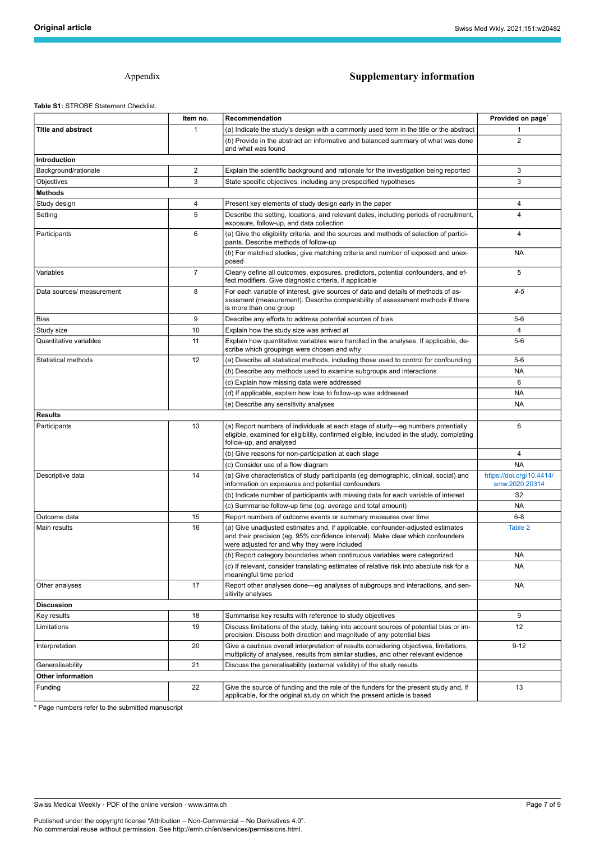### Appendix **Supplementary information**

**Table S1:** STROBE Statement Checklist.

|                           | Item no.                                                                                                                             | Recommendation                                                                                                                                                                                                     | Provided on page*                          |
|---------------------------|--------------------------------------------------------------------------------------------------------------------------------------|--------------------------------------------------------------------------------------------------------------------------------------------------------------------------------------------------------------------|--------------------------------------------|
| <b>Title and abstract</b> | 1                                                                                                                                    | (a) Indicate the study's design with a commonly used term in the title or the abstract                                                                                                                             |                                            |
|                           |                                                                                                                                      | (b) Provide in the abstract an informative and balanced summary of what was done<br>and what was found                                                                                                             | $\overline{2}$                             |
| Introduction              |                                                                                                                                      |                                                                                                                                                                                                                    |                                            |
| Background/rationale      | 2                                                                                                                                    | Explain the scientific background and rationale for the investigation being reported                                                                                                                               | 3                                          |
| Objectives                | 3                                                                                                                                    | State specific objectives, including any prespecified hypotheses                                                                                                                                                   | 3                                          |
| <b>Methods</b>            |                                                                                                                                      |                                                                                                                                                                                                                    |                                            |
| Study design              | 4                                                                                                                                    | Present key elements of study design early in the paper                                                                                                                                                            | 4                                          |
| Setting                   | 5                                                                                                                                    | Describe the setting, locations, and relevant dates, including periods of recruitment,<br>exposure, follow-up, and data collection                                                                                 | 4                                          |
| Participants              | 6<br>(a) Give the eligibility criteria, and the sources and methods of selection of partici-<br>pants. Describe methods of follow-up |                                                                                                                                                                                                                    | 4                                          |
|                           |                                                                                                                                      | (b) For matched studies, give matching criteria and number of exposed and unex-<br>posed                                                                                                                           | <b>NA</b>                                  |
| Variables                 | $\overline{7}$                                                                                                                       | Clearly define all outcomes, exposures, predictors, potential confounders, and ef-<br>fect modifiers. Give diagnostic criteria, if applicable                                                                      | 5                                          |
| Data sources/ measurement | 8                                                                                                                                    | For each variable of interest, give sources of data and details of methods of as-<br>sessment (measurement). Describe comparability of assessment methods if there<br>is more than one group                       | $4 - 5$                                    |
| Bias                      | 9                                                                                                                                    | Describe any efforts to address potential sources of bias                                                                                                                                                          | $5-6$                                      |
| Study size                | 10                                                                                                                                   | Explain how the study size was arrived at                                                                                                                                                                          | 4                                          |
| Quantitative variables    | 11                                                                                                                                   | Explain how quantitative variables were handled in the analyses. If applicable, de-<br>scribe which groupings were chosen and why                                                                                  | $5-6$                                      |
| Statistical methods       | 12                                                                                                                                   | (a) Describe all statistical methods, including those used to control for confounding                                                                                                                              | $5-6$                                      |
|                           |                                                                                                                                      | (b) Describe any methods used to examine subgroups and interactions                                                                                                                                                | NA                                         |
|                           |                                                                                                                                      | (c) Explain how missing data were addressed                                                                                                                                                                        | 6                                          |
|                           |                                                                                                                                      | (d) If applicable, explain how loss to follow-up was addressed                                                                                                                                                     | <b>NA</b>                                  |
|                           |                                                                                                                                      | (e) Describe any sensitivity analyses                                                                                                                                                                              | <b>NA</b>                                  |
| <b>Results</b>            |                                                                                                                                      |                                                                                                                                                                                                                    |                                            |
| Participants<br>13        |                                                                                                                                      | (a) Report numbers of individuals at each stage of study—eg numbers potentially<br>eligible, examined for eligibility, confirmed eligible, included in the study, completing<br>follow-up, and analysed            | 6                                          |
|                           |                                                                                                                                      | (b) Give reasons for non-participation at each stage                                                                                                                                                               | $\overline{4}$                             |
|                           |                                                                                                                                      | (c) Consider use of a flow diagram                                                                                                                                                                                 | <b>NA</b>                                  |
| 14<br>Descriptive data    |                                                                                                                                      | (a) Give characteristics of study participants (eg demographic, clinical, social) and<br>information on exposures and potential confounders                                                                        | https://doi.org/10.4414/<br>smw.2020.20314 |
|                           |                                                                                                                                      | (b) Indicate number of participants with missing data for each variable of interest                                                                                                                                | S <sub>2</sub>                             |
|                           |                                                                                                                                      | (c) Summarise follow-up time (eg, average and total amount)                                                                                                                                                        | NA                                         |
| Outcome data              | 15                                                                                                                                   | Report numbers of outcome events or summary measures over time                                                                                                                                                     | 6-8                                        |
| Main results              | 16                                                                                                                                   | (a) Give unadjusted estimates and, if applicable, confounder-adjusted estimates<br>and their precision (eg, 95% confidence interval). Make clear which confounders<br>were adjusted for and why they were included | Table 2                                    |
|                           |                                                                                                                                      | (b) Report category boundaries when continuous variables were categorized                                                                                                                                          | NA                                         |
|                           |                                                                                                                                      | (c) If relevant, consider translating estimates of relative risk into absolute risk for a<br>meaningful time period                                                                                                | NA                                         |
| Other analyses            | 17                                                                                                                                   | Report other analyses done—eg analyses of subgroups and interactions, and sen-<br>sitivity analyses                                                                                                                | NA                                         |
| <b>Discussion</b>         |                                                                                                                                      |                                                                                                                                                                                                                    |                                            |
| Key results               | 18                                                                                                                                   | Summarise key results with reference to study objectives                                                                                                                                                           | 9                                          |
| Limitations               | 19                                                                                                                                   | Discuss limitations of the study, taking into account sources of potential bias or im-<br>precision. Discuss both direction and magnitude of any potential bias                                                    | 12                                         |
| Interpretation            | 20                                                                                                                                   | Give a cautious overall interpretation of results considering objectives, limitations,<br>multiplicity of analyses, results from similar studies, and other relevant evidence                                      | 9-12                                       |
| Generalisability          | 21                                                                                                                                   | Discuss the generalisability (external validity) of the study results                                                                                                                                              |                                            |
| Other information         |                                                                                                                                      |                                                                                                                                                                                                                    |                                            |
| Funding                   | 22                                                                                                                                   | Give the source of funding and the role of the funders for the present study and, if<br>applicable, for the original study on which the present article is based                                                   | 13                                         |

\* Page numbers refer to the submitted manuscript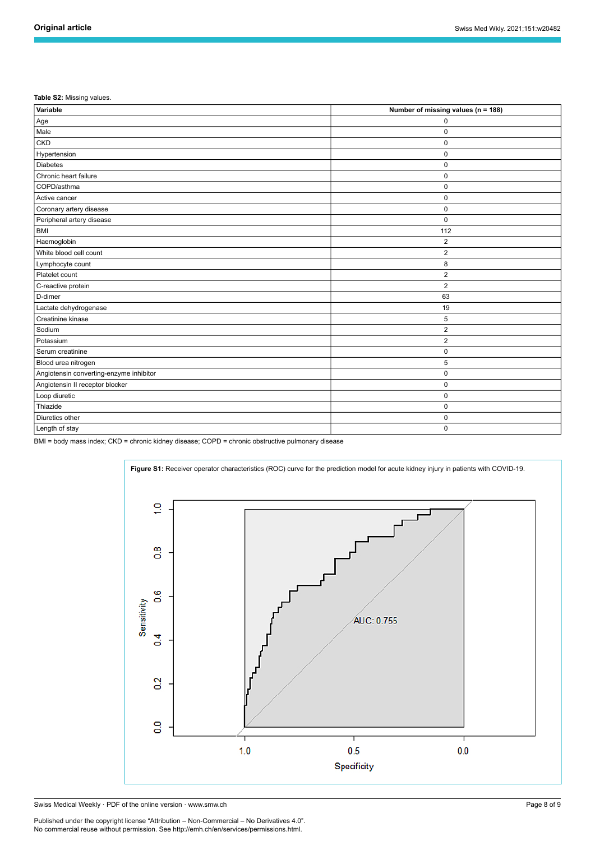#### <span id="page-7-0"></span>**Table S2:** Missing values.

| Variable                                | Number of missing values ( $n = 188$ ) |
|-----------------------------------------|----------------------------------------|
| Age                                     | $\mathbf 0$                            |
| Male                                    | 0                                      |
| <b>CKD</b>                              | 0                                      |
| Hypertension                            | 0                                      |
| <b>Diabetes</b>                         | $\mathbf 0$                            |
| Chronic heart failure                   | $\mathbf 0$                            |
| COPD/asthma                             | $\mathbf 0$                            |
| Active cancer                           | $\mathbf 0$                            |
| Coronary artery disease                 | 0                                      |
| Peripheral artery disease               | $\pmb{0}$                              |
| <b>BMI</b>                              | 112                                    |
| Haemoglobin                             | $\overline{\mathbf{c}}$                |
| White blood cell count                  | 2                                      |
| Lymphocyte count                        | 8                                      |
| Platelet count                          | $\overline{\mathbf{c}}$                |
| C-reactive protein                      | $\overline{\mathbf{c}}$                |
| D-dimer                                 | 63                                     |
| Lactate dehydrogenase                   | 19                                     |
| Creatinine kinase                       | 5                                      |
| Sodium                                  | $\overline{2}$                         |
| Potassium                               | 2                                      |
| Serum creatinine                        | $\mathbf 0$                            |
| Blood urea nitrogen                     | 5                                      |
| Angiotensin converting-enzyme inhibitor | $\mathbf 0$                            |
| Angiotensin II receptor blocker         | 0                                      |
| Loop diuretic                           | $\mathbf 0$                            |
| Thiazide                                | 0                                      |
| Diuretics other                         | $\mathbf 0$                            |
| Length of stay                          | 0                                      |

BMI = body mass index; CKD = chronic kidney disease; COPD = chronic obstructive pulmonary disease



Swiss Medical Weekly · PDF of the online version · www.smw.ch